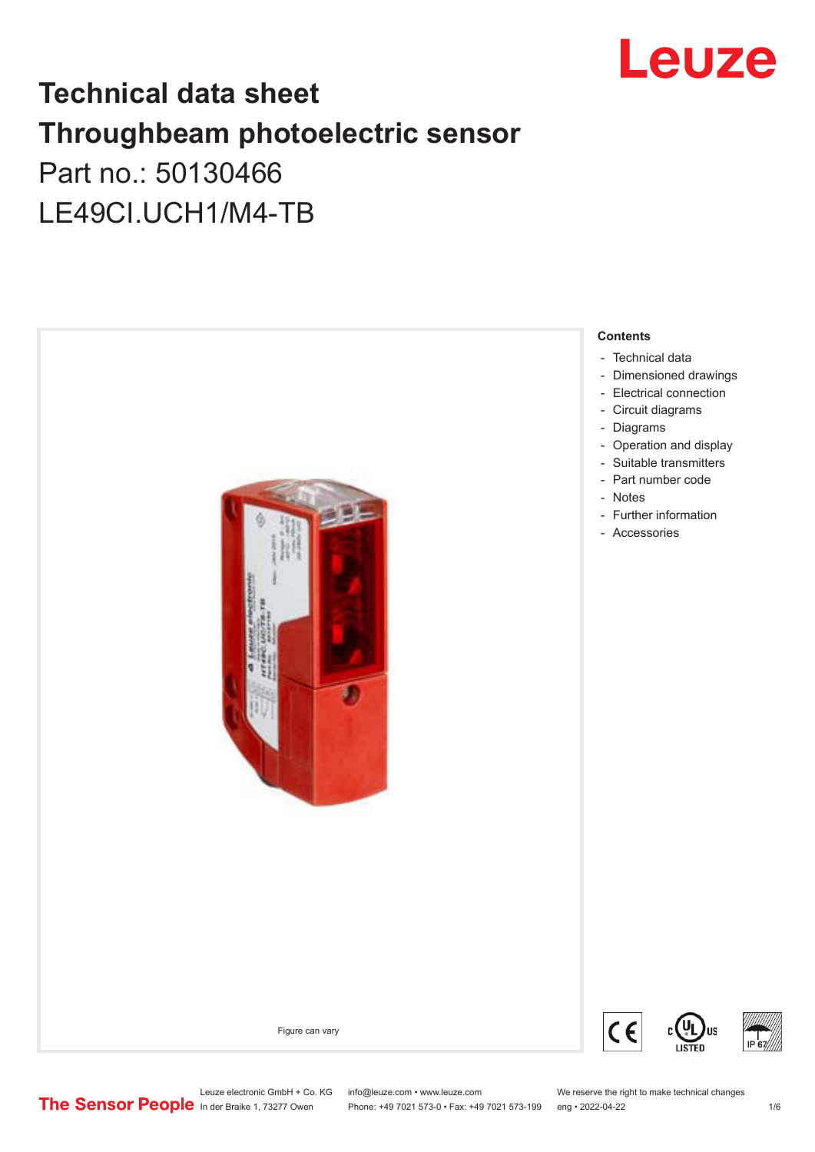

## **Technical data sheet Throughbeam photoelectric sensor**  Part no.: 50130466 LE49CI.UCH1/M4-TB



Leuze electronic GmbH + Co. KG info@leuze.com • www.leuze.com We reserve the right to make technical changes<br>
The Sensor People in der Braike 1, 73277 Owen Phone: +49 7021 573-0 • Fax: +49 7021 573-199 eng • 2022-04-22 Phone: +49 7021 573-0 • Fax: +49 7021 573-199 eng • 2022-04-22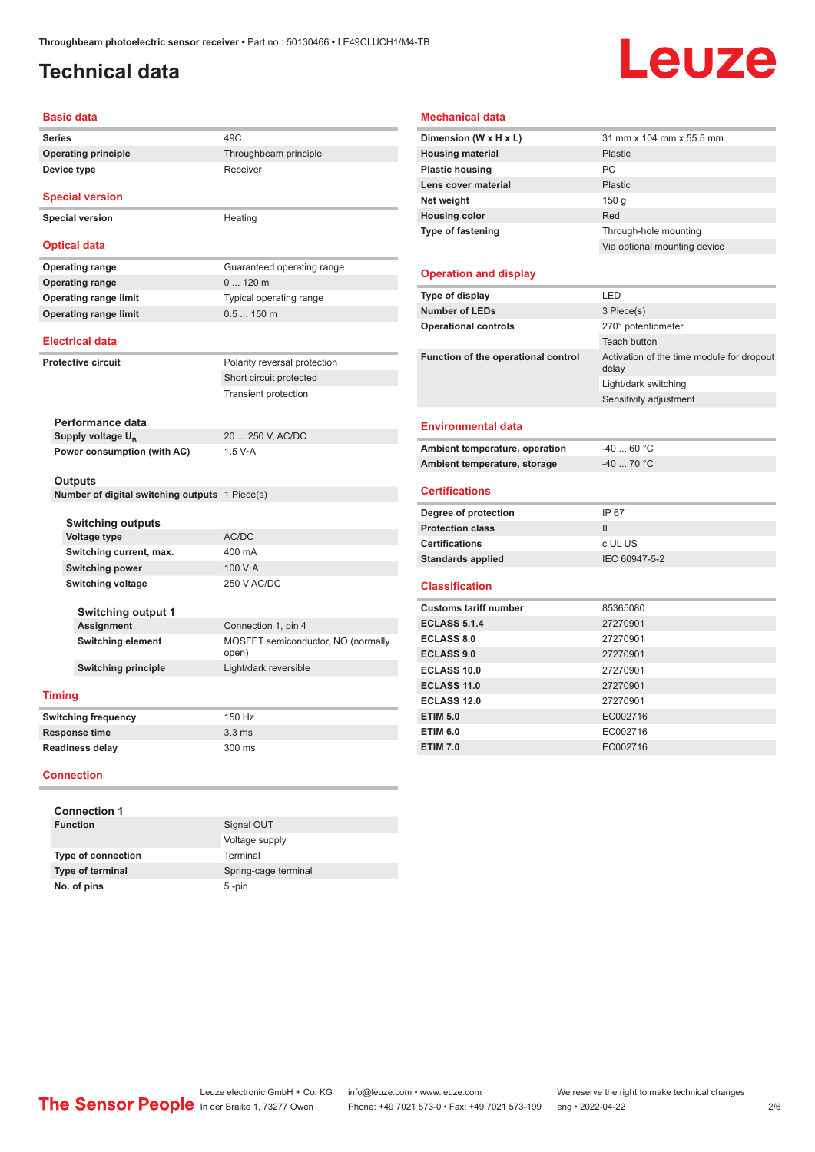#### <span id="page-1-0"></span>**Technical data**

# Leuze

| <b>Basic data</b>                              |                                             |
|------------------------------------------------|---------------------------------------------|
| <b>Series</b>                                  | 49 <sub>C</sub>                             |
| <b>Operating principle</b>                     | Throughbeam principle                       |
| Device type                                    | Receiver                                    |
| <b>Special version</b>                         |                                             |
| <b>Special version</b>                         | Heating                                     |
| <b>Optical data</b>                            |                                             |
| <b>Operating range</b>                         | Guaranteed operating range                  |
| <b>Operating range</b>                         | $0120$ m                                    |
| <b>Operating range limit</b>                   | Typical operating range                     |
| <b>Operating range limit</b>                   | 0.5150m                                     |
| <b>Electrical data</b>                         |                                             |
| <b>Protective circuit</b>                      | Polarity reversal protection                |
|                                                | Short circuit protected                     |
|                                                | <b>Transient protection</b>                 |
|                                                |                                             |
| Performance data                               |                                             |
| Supply voltage U <sub>p</sub>                  | 20  250 V, AC/DC                            |
| Power consumption (with AC)                    | 1.5 V·A                                     |
| Outputs                                        |                                             |
| Number of digital switching outputs 1 Piece(s) |                                             |
|                                                |                                             |
| <b>Switching outputs</b>                       |                                             |
| <b>Voltage type</b>                            | AC/DC                                       |
| Switching current, max.                        | 400 mA                                      |
| <b>Switching power</b>                         | 100 V·A                                     |
| <b>Switching voltage</b>                       | 250 V AC/DC                                 |
| <b>Switching output 1</b>                      |                                             |
| Assignment                                     | Connection 1, pin 4                         |
| <b>Switching element</b>                       | MOSFET semiconductor, NO (normally<br>open) |
| <b>Switching principle</b>                     | Light/dark reversible                       |
| <b>Timing</b>                                  |                                             |
| <b>Switching frequency</b>                     | 150 Hz                                      |
| <b>Response time</b>                           | 3.3 <sub>ms</sub>                           |
| <b>Readiness delay</b>                         | 300 ms                                      |
|                                                |                                             |

#### **Connection**

| <b>Connection 1</b>       |                      |
|---------------------------|----------------------|
| <b>Function</b>           | Signal OUT           |
|                           | Voltage supply       |
| <b>Type of connection</b> | Terminal             |
| Type of terminal          | Spring-cage terminal |
| No. of pins               | $5 - pin$            |

#### **Mechanical data**

| Dimension (W x H x L)               | 31 mm x 104 mm x 55.5 mm                           |
|-------------------------------------|----------------------------------------------------|
| <b>Housing material</b>             | Plastic                                            |
| <b>Plastic housing</b>              | PC                                                 |
| Lens cover material                 | Plastic                                            |
| Net weight                          | 150 <sub>g</sub>                                   |
| <b>Housing color</b>                | Red                                                |
| <b>Type of fastening</b>            | Through-hole mounting                              |
|                                     | Via optional mounting device                       |
| <b>Operation and display</b>        |                                                    |
| Type of display                     | LED                                                |
| <b>Number of LEDs</b>               | 3 Piece(s)                                         |
| <b>Operational controls</b>         | 270° potentiometer                                 |
|                                     | Teach button                                       |
| Function of the operational control | Activation of the time module for dropout<br>delay |
|                                     | Light/dark switching                               |
|                                     | Sensitivity adjustment                             |
| Environmental data                  |                                                    |
| Ambient temperature, operation      | $-4060 °C$                                         |
| Ambient temperature, storage        | $-40$ 70 °C                                        |
| <b>Certifications</b>               |                                                    |
| Degree of protection                | IP 67                                              |
| <b>Protection class</b>             | $\mathbf{II}$                                      |
| <b>Certifications</b>               | c UL US                                            |
| <b>Standards applied</b>            | IEC 60947-5-2                                      |
| <b>Classification</b>               |                                                    |
| <b>Customs tariff number</b>        | 85365080                                           |
| <b>ECLASS 5.1.4</b>                 | 27270901                                           |
| <b>ECLASS 8.0</b>                   | 27270901                                           |
| <b>ECLASS 9.0</b>                   | 27270901                                           |
| <b>ECLASS 10.0</b>                  | 27270901                                           |
| <b>ECLASS 11.0</b>                  | 27270901                                           |
| <b>ECLASS 12.0</b>                  | 27270901                                           |
| <b>ETIM 5.0</b>                     | EC002716                                           |
| <b>ETIM 6.0</b>                     | EC002716                                           |
| <b>ETIM 7.0</b>                     | EC002716                                           |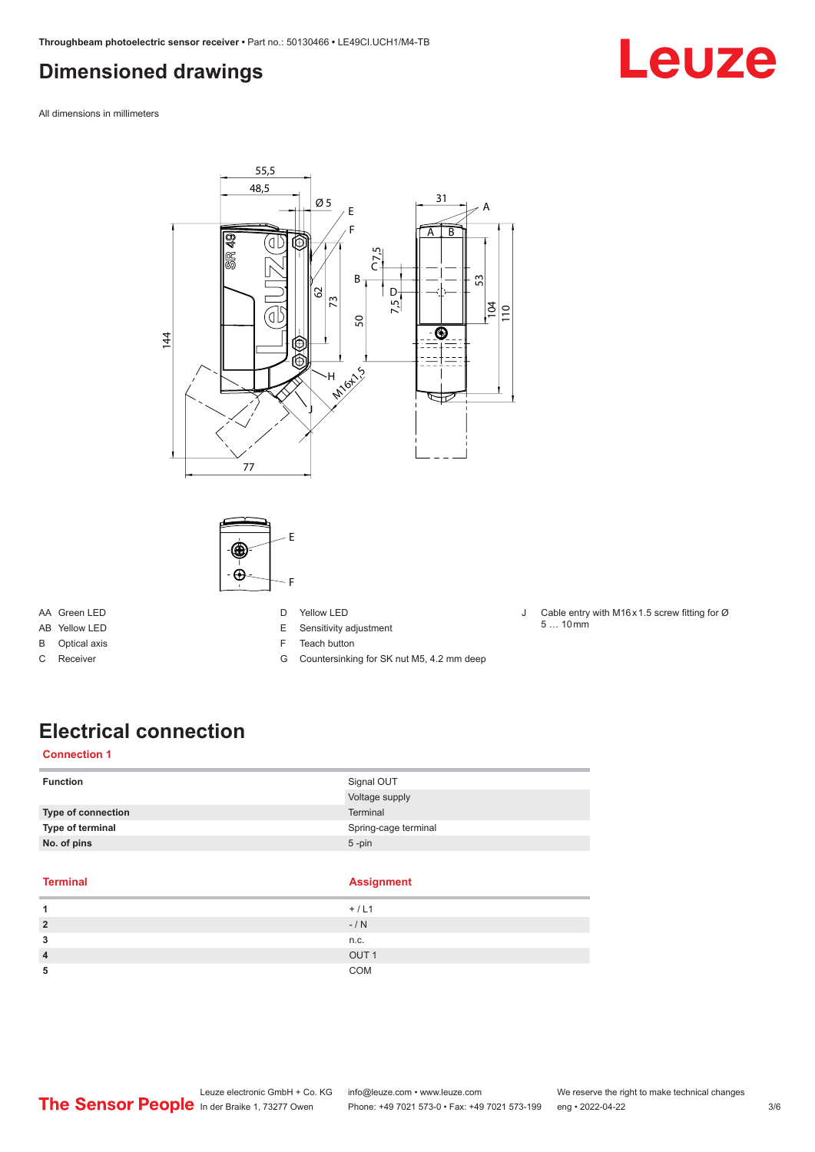#### <span id="page-2-0"></span>**Dimensioned drawings**



All dimensions in millimeters



AA Green LED

- AB Yellow LED
- B Optical axis
- C Receiver
- E Sensitivity adjustment
- F Teach button
- G Countersinking for SK nut M5, 4.2 mm deep
- J Cable entry with M16 x 1.5 screw fitting for Ø  $5...10 \,\text{mm}$

## **Electrical connection**

#### **Connection 1**

| <b>Function</b>    | Signal OUT           |
|--------------------|----------------------|
|                    | Voltage supply       |
| Type of connection | Terminal             |
| Type of terminal   | Spring-cage terminal |
| No. of pins        | $5 - pin$            |

#### **Terminal Assignment**

|   | $\sim$           |
|---|------------------|
|   | $+ / L1$         |
| 2 | $-/ N$           |
| 3 | n.c.             |
| 4 | OUT <sub>1</sub> |
| 5 | COM              |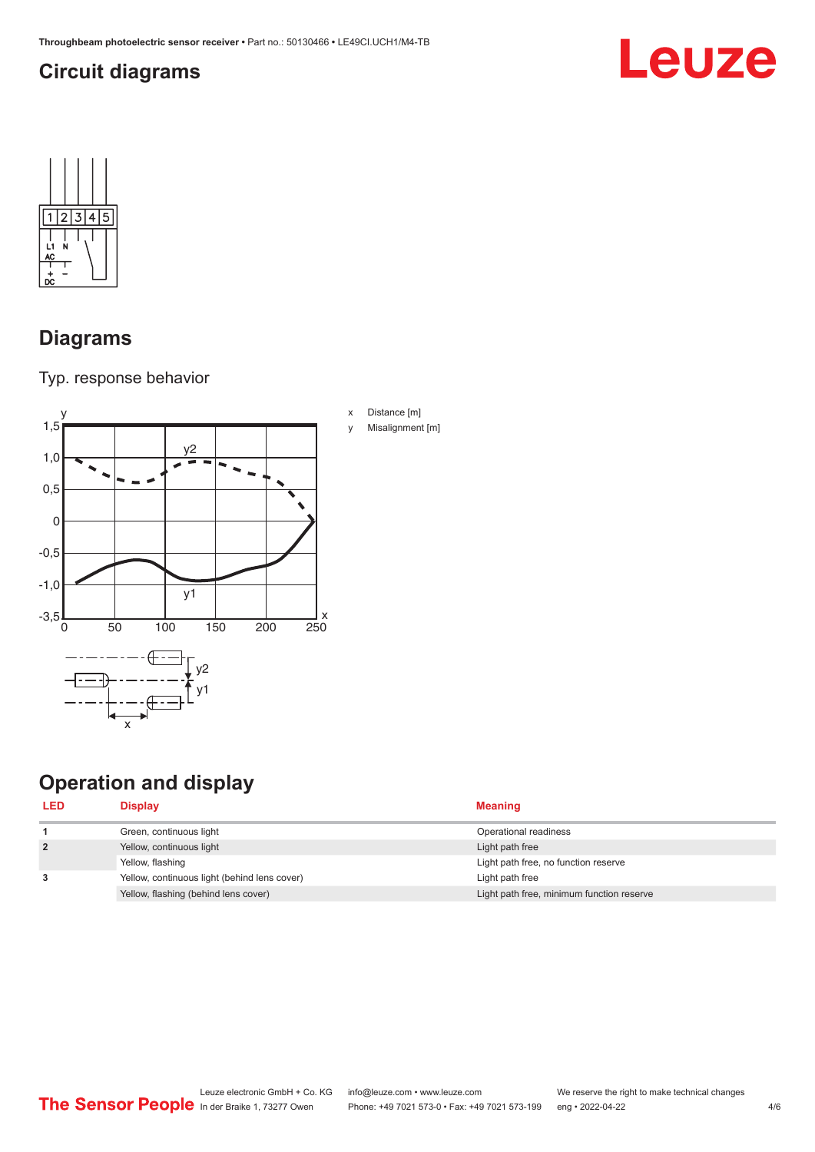## <span id="page-3-0"></span>**Circuit diagrams**





#### **Diagrams**

Typ. response behavior



## **Operation and display**

| <b>LED</b>     | <b>Display</b>                               | <b>Meaning</b>                            |
|----------------|----------------------------------------------|-------------------------------------------|
|                | Green, continuous light                      | Operational readiness                     |
| $\overline{2}$ | Yellow, continuous light                     | Light path free                           |
|                | Yellow, flashing                             | Light path free, no function reserve      |
| 3              | Yellow, continuous light (behind lens cover) | Light path free                           |
|                | Yellow, flashing (behind lens cover)         | Light path free, minimum function reserve |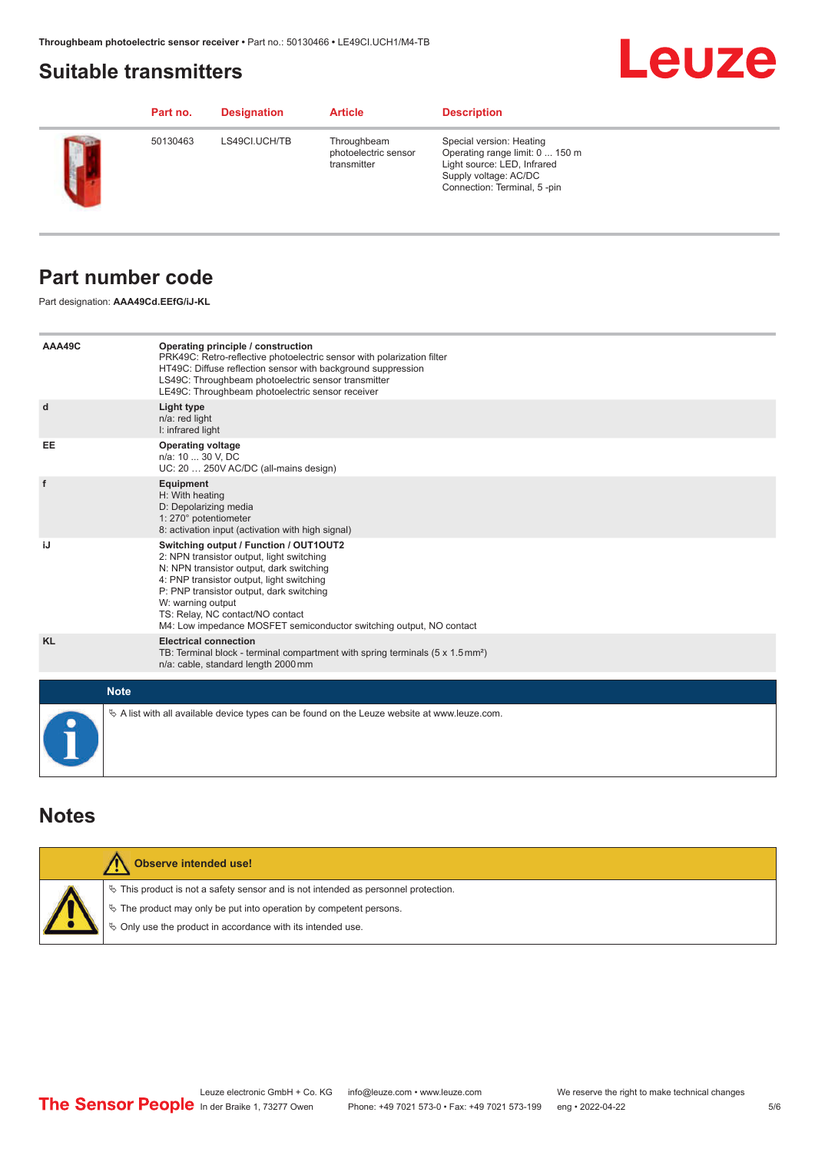#### <span id="page-4-0"></span>**Suitable transmitters**

## **Leuze**

|        | Part no. | <b>Designation</b> | <b>Article</b>                                     | <b>Description</b>                                                                                                                                 |
|--------|----------|--------------------|----------------------------------------------------|----------------------------------------------------------------------------------------------------------------------------------------------------|
| $\sum$ | 50130463 | LS49CI.UCH/TB      | Throughbeam<br>photoelectric sensor<br>transmitter | Special version: Heating<br>Operating range limit: 0  150 m<br>Light source: LED, Infrared<br>Supply voltage: AC/DC<br>Connection: Terminal, 5-pin |

#### **Part number code**

Part designation: **AAA49Cd.EEfG/iJ-KL**

| AAA49C    | Operating principle / construction<br>PRK49C: Retro-reflective photoelectric sensor with polarization filter<br>HT49C: Diffuse reflection sensor with background suppression<br>LS49C: Throughbeam photoelectric sensor transmitter<br>LE49C: Throughbeam photoelectric sensor receiver                                                                  |
|-----------|----------------------------------------------------------------------------------------------------------------------------------------------------------------------------------------------------------------------------------------------------------------------------------------------------------------------------------------------------------|
| d         | Light type<br>n/a: red light<br>I: infrared light                                                                                                                                                                                                                                                                                                        |
| EE        | <b>Operating voltage</b><br>n/a: 10  30 V, DC<br>UC: 20  250V AC/DC (all-mains design)                                                                                                                                                                                                                                                                   |
| f         | Equipment<br>H: With heating<br>D: Depolarizing media<br>1: 270° potentiometer<br>8: activation input (activation with high signal)                                                                                                                                                                                                                      |
| iJ        | Switching output / Function / OUT1OUT2<br>2: NPN transistor output, light switching<br>N: NPN transistor output, dark switching<br>4: PNP transistor output, light switching<br>P: PNP transistor output, dark switching<br>W: warning output<br>TS: Relay, NC contact/NO contact<br>M4: Low impedance MOSFET semiconductor switching output, NO contact |
| <b>KL</b> | <b>Electrical connection</b><br>TB: Terminal block - terminal compartment with spring terminals $(5 \times 1.5 \text{ mm}^2)$<br>n/a: cable, standard length 2000 mm                                                                                                                                                                                     |
|           | <b>Note</b>                                                                                                                                                                                                                                                                                                                                              |
|           | $\&$ A list with all available device types can be found on the Leuze website at www.leuze.com.                                                                                                                                                                                                                                                          |

#### **Notes**

| Observe intended use!                                                                 |
|---------------------------------------------------------------------------------------|
| $\%$ This product is not a safety sensor and is not intended as personnel protection. |
| ↓ The product may only be put into operation by competent persons.                    |
| ♦ Only use the product in accordance with its intended use.                           |
|                                                                                       |